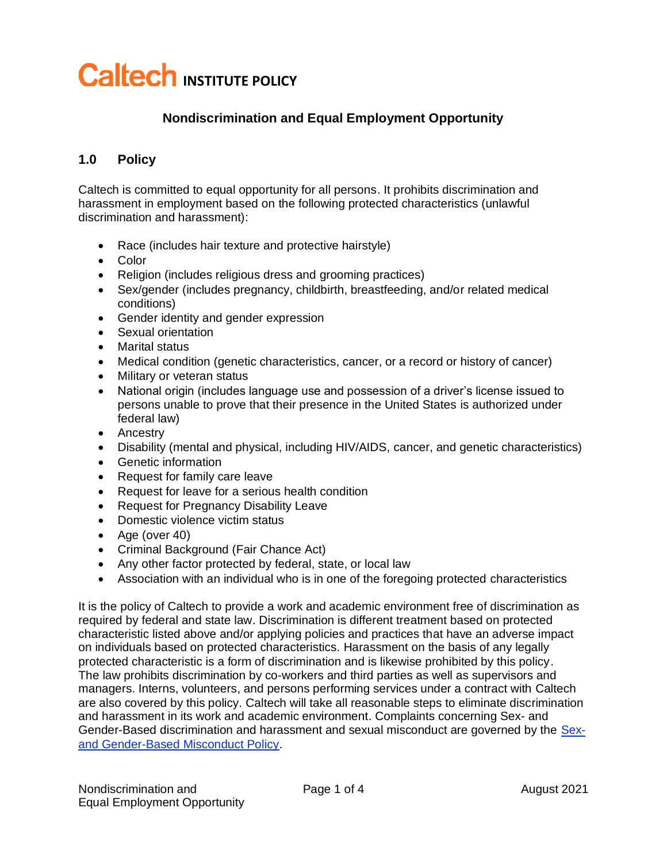# **Caltech INSTITUTE POLICY**

#### **Nondiscrimination and Equal Employment Opportunity**

#### **1.0 Policy**

Caltech is committed to equal opportunity for all persons. It prohibits discrimination and harassment in employment based on the following protected characteristics (unlawful discrimination and harassment):

- Race (includes hair texture and protective hairstyle)
- Color
- Religion (includes religious dress and grooming practices)
- Sex/gender (includes pregnancy, childbirth, breastfeeding, and/or related medical conditions)
- Gender identity and gender expression
- Sexual orientation
- Marital status
- Medical condition (genetic characteristics, cancer, or a record or history of cancer)
- Military or veteran status
- National origin (includes language use and possession of a driver's license issued to persons unable to prove that their presence in the United States is authorized under federal law)
- Ancestry
- Disability (mental and physical, including HIV/AIDS, cancer, and genetic characteristics)
- Genetic information
- Request for family care leave
- Request for leave for a serious health condition
- Request for Pregnancy Disability Leave
- Domestic violence victim status
- Age (over 40)
- Criminal Background (Fair Chance Act)
- Any other factor protected by federal, state, or local law
- Association with an individual who is in one of the foregoing protected characteristics

It is the policy of Caltech to provide a work and academic environment free of discrimination as required by federal and state law. Discrimination is different treatment based on protected characteristic listed above and/or applying policies and practices that have an adverse impact on individuals based on protected characteristics. Harassment on the basis of any legally protected characteristic is a form of discrimination and is likewise prohibited by this policy. The law prohibits discrimination by co-workers and third parties as well as supervisors and managers. Interns, volunteers, and persons performing services under a contract with Caltech are also covered by this policy. Caltech will take all reasonable steps to eliminate discrimination and harassment in its work and academic environment. Complaints concerning Sex- and Gender-Based discrimination and harassment and sexual misconduct are governed by the [Sex](https://hr.caltech.edu/documents/3016/Gender_Based_Sexual_Misconduct.pdf)[and Gender-Based](https://hr.caltech.edu/documents/3016/Gender_Based_Sexual_Misconduct.pdf) Misconduct Policy.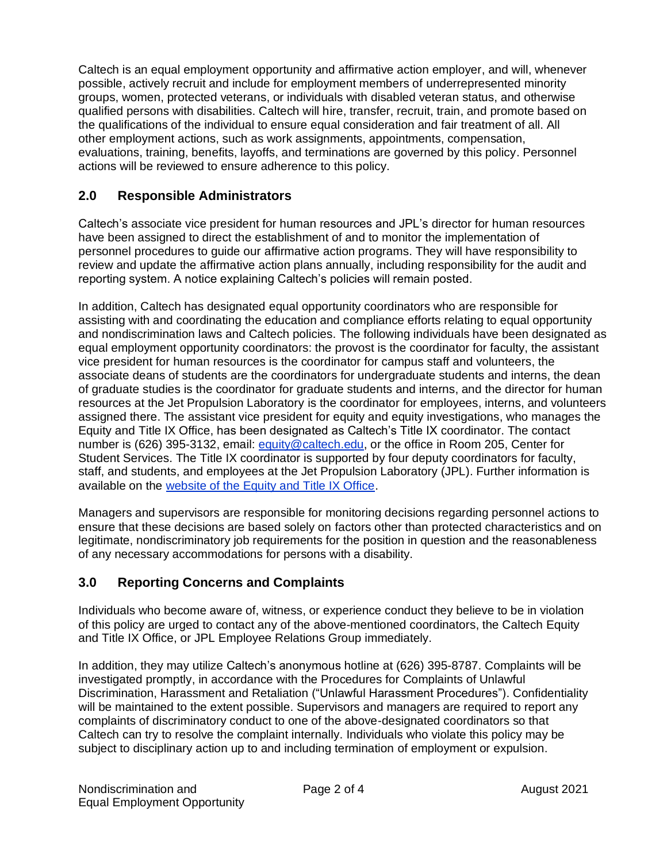Caltech is an equal employment opportunity and affirmative action employer, and will, whenever possible, actively recruit and include for employment members of underrepresented minority groups, women, protected veterans, or individuals with disabled veteran status, and otherwise qualified persons with disabilities. Caltech will hire, transfer, recruit, train, and promote based on the qualifications of the individual to ensure equal consideration and fair treatment of all. All other employment actions, such as work assignments, appointments, compensation, evaluations, training, benefits, layoffs, and terminations are governed by this policy. Personnel actions will be reviewed to ensure adherence to this policy.

#### **2.0 Responsible Administrators**

Caltech's associate vice president for human resources and JPL's director for human resources have been assigned to direct the establishment of and to monitor the implementation of personnel procedures to guide our affirmative action programs. They will have responsibility to review and update the affirmative action plans annually, including responsibility for the audit and reporting system. A notice explaining Caltech's policies will remain posted.

In addition, Caltech has designated equal opportunity coordinators who are responsible for assisting with and coordinating the education and compliance efforts relating to equal opportunity and nondiscrimination laws and Caltech policies. The following individuals have been designated as equal employment opportunity coordinators: the provost is the coordinator for faculty, the assistant vice president for human resources is the coordinator for campus staff and volunteers, the associate deans of students are the coordinators for undergraduate students and interns, the dean of graduate studies is the coordinator for graduate students and interns, and the director for human resources at the Jet Propulsion Laboratory is the coordinator for employees, interns, and volunteers assigned there. The assistant vice president for equity and equity investigations, who manages the Equity and Title IX Office, has been designated as Caltech's Title IX coordinator. The contact number is (626) 395-3132, email: equity[@caltech.](mailto:equity@caltech.edu)edu, or the office in Room 205, Center for Student Services. The Title IX coordinator is supported by four deputy coordinators for faculty, staff, and students, and employees at the Jet Propulsion Laboratory (JPL). Further information is available on the [website of the Equity and Title IX Office.](http://titleix.caltech.edu/)

Managers and supervisors are responsible for monitoring decisions regarding personnel actions to ensure that these decisions are based solely on factors other than protected characteristics and on legitimate, nondiscriminatory job requirements for the position in question and the reasonableness of any necessary accommodations for persons with a disability.

# **3.0 Reporting Concerns and Complaints**

Individuals who become aware of, witness, or experience conduct they believe to be in violation of this policy are urged to contact any of the above-mentioned coordinators, the Caltech Equity and Title IX Office, or JPL Employee Relations Group immediately.

In addition, they may utilize Caltech's anonymous hotline at (626) 395-8787. Complaints will be investigated promptly, in accordance with the Procedures for Complaints of Unlawful Discrimination, Harassment and Retaliation ("Unlawful Harassment Procedures"). Confidentiality will be maintained to the extent possible. Supervisors and managers are required to report any complaints of discriminatory conduct to one of the above-designated coordinators so that Caltech can try to resolve the complaint internally. Individuals who violate this policy may be subject to disciplinary action up to and including termination of employment or expulsion.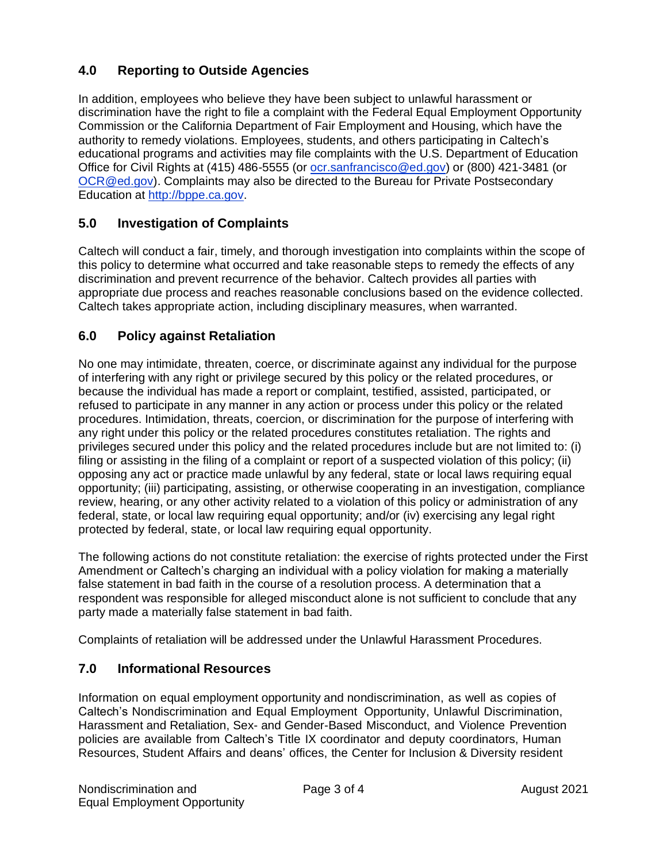## **4.0 Reporting to Outside Agencies**

In addition, employees who believe they have been subject to unlawful harassment or discrimination have the right to file a complaint with the Federal Equal Employment Opportunity Commission or the California Department of Fair Employment and Housing, which have the authority to remedy violations. Employees, students, and others participating in Caltech's educational programs and activities may file complaints with the U.S. Department of Education Office for Civil Rights at (415) 486-5555 (or [ocr.sanfrancisco@ed.gov\)](mailto:ocr.sanfrancisco@ed.gov) or (800) 421-3481 (or [OCR@ed.gov\)](mailto:OCR@ed.gov). Complaints may also be directed to the Bureau for Private Postsecondary Education at [http://bppe.ca.gov.](http://bppe.ca.gov/)

## **5.0 Investigation of Complaints**

Caltech will conduct a fair, timely, and thorough investigation into complaints within the scope of this policy to determine what occurred and take reasonable steps to remedy the effects of any discrimination and prevent recurrence of the behavior. Caltech provides all parties with appropriate due process and reaches reasonable conclusions based on the evidence collected. Caltech takes appropriate action, including disciplinary measures, when warranted.

## **6.0 Policy against Retaliation**

No one may intimidate, threaten, coerce, or discriminate against any individual for the purpose of interfering with any right or privilege secured by this policy or the related procedures, or because the individual has made a report or complaint, testified, assisted, participated, or refused to participate in any manner in any action or process under this policy or the related procedures. Intimidation, threats, coercion, or discrimination for the purpose of interfering with any right under this policy or the related procedures constitutes retaliation. The rights and privileges secured under this policy and the related procedures include but are not limited to: (i) filing or assisting in the filing of a complaint or report of a suspected violation of this policy; (ii) opposing any act or practice made unlawful by any federal, state or local laws requiring equal opportunity; (iii) participating, assisting, or otherwise cooperating in an investigation, compliance review, hearing, or any other activity related to a violation of this policy or administration of any federal, state, or local law requiring equal opportunity; and/or (iv) exercising any legal right protected by federal, state, or local law requiring equal opportunity.

The following actions do not constitute retaliation: the exercise of rights protected under the First Amendment or Caltech's charging an individual with a policy violation for making a materially false statement in bad faith in the course of a resolution process. A determination that a respondent was responsible for alleged misconduct alone is not sufficient to conclude that any party made a materially false statement in bad faith.

Complaints of retaliation will be addressed under the Unlawful Harassment Procedures.

#### **7.0 Informational Resources**

Information on equal employment opportunity and nondiscrimination, as well as copies of Caltech's Nondiscrimination and Equal Employment Opportunity, Unlawful Discrimination, Harassment and Retaliation, Sex- and Gender-Based Misconduct, and Violence Prevention policies are available from Caltech's Title IX coordinator and deputy coordinators, Human Resources, Student Affairs and deans' offices, the Center for Inclusion & Diversity resident